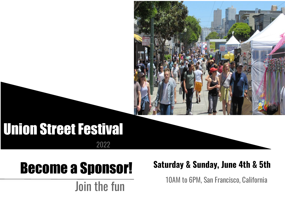

## Union Street Festival 2022

# Become a Sponsor!

Join the fun

#### **Saturday & Sunday, June 4th & 5th**

10AM to 6PM, San Francisco, California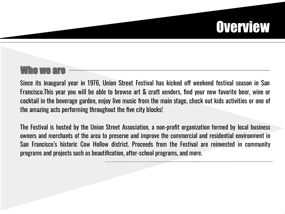# **Overview**

### Who we are

Francisco.This year you will be able to browse art & craft vendors, find your new favorite beer, wine or Since its inaugural year in 1976, Union Street Festival has kicked off weekend festival season in San cocktail in the beverage garden, enjoy live music from the main stage, check out kids activities or one of the amazing acts performing throughout the five city blocks!

The Festival is hosted by the Union Street Association, a non-profit organization formed by local business owners and merchants of the area to preserve and improve the commercial and residential environment in San Francisco's historic Cow Hollow district. Proceeds from the Festival are reinvested in community programs and projects such as beautification, after-school programs, and more.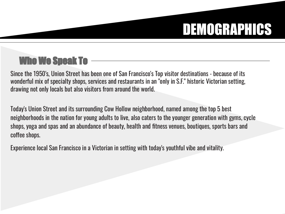# DEMOGRAPHICS

## Who We Speak To

Since the 1950's, Union Street has been one of San Francisco's Top visitor destinations - because of its wonderful mix of specialty shops, services and restaurants in an "only in S.F." historic Victorian setting, drawing not only locals but also visitors from around the world.

Today's Union Street and its surrounding Cow Hollow neighborhood, named among the top 5 best neighborhoods in the nation for young adults to live, also caters to the younger generation with gyms, cycle shops, yoga and spas and an abundance of beauty, health and fitness venues, boutiques, sports bars and coffee shops.

Experience local San Francisco in a Victorian in setting with today's youthful vibe and vitality.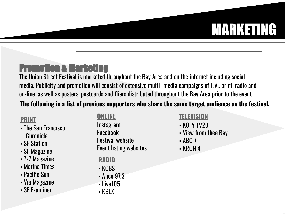# MARKETING

### Promotion & Marketing

The Union Street Festival is marketed throughout the Bay Area and on the internet including social media. Publicity and promotion will consist of extensive multi- media campaigns of T.V., print, radio and on-line, as well as posters, postcards and fliers distributed throughout the Bay Area prior to the event.

#### **The following is a list of previous supporters who share the same target audience as the festival.**

#### **PRINT**

- The San Francisco Chronicle
- SF Station
- **SF Magazine**
- 7x7 Magazine
- **Marina Times**
- Pacific Sun
- Via Magazine
- **SF Examiner**

#### **ONLINE**

Instagram Facebook Festival website Event listing websites

**RADIO**

- KCBS
- Alice 97.3
- **Live105**
- KBLX

#### **TELEVISION**

- KOFY TV20
- View from thee Bay
- $-$  ABC 7
- KRON 4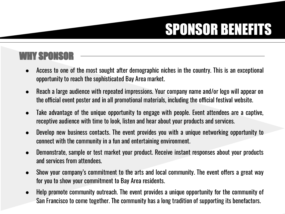# SPONSOR BENEFITS

### WHY SPONSOR

- Access to one of the most sought after demographic niches in the country. This is an exceptional opportunity to reach the sophisticated Bay Area market.
- Reach a large audience with repeated impressions. Your company name and/or logo will appear on the official event poster and in all promotional materials, including the official festival website.
- Take advantage of the unique opportunity to engage with people. Event attendees are a captive, receptive audience with time to look, listen and hear about your products and services.
- Develop new business contacts. The event provides you with a unique networking opportunity to connect with the community in a fun and entertaining environment.
- Demonstrate, sample or test market your product. Receive instant responses about your products and services from attendees.
- Show your company's commitment to the arts and local community. The event offers a great way for you to show your commitment to Bay Area residents.
- Help promote community outreach. The event provides a unique opportunity for the community of San Francisco to come together. The community has a long tradition of supporting its benefactors.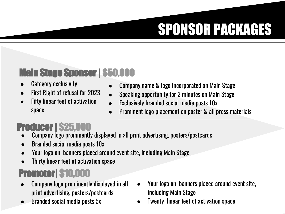# SPONSOR PACKAGES

### Main Stage Sponsor | \$50,000

- Category exclusivity
- First Right of refusal for 2023
- **Fifty linear feet of activation** space
- Company name & logo incorporated on Main Stage
- Speaking opportunity for 2 minutes on Main Stage
- Exclusively branded social media posts 10x
- Prominent logo placement on poster & all press materials

### Producer | \$25,000

- Company logo prominently displayed in all print advertising, posters/postcards
- Branded social media posts 10x
- Your logo on banners placed around event site, including Main Stage
- Thirty linear feet of activation space

## Promoter| \$10,000

- Company logo prominently displayed in all print advertising, posters/postcards
- Branded social media posts 5x
- Your logo on banners placed around event site, including Main Stage
- Twenty linear feet of activation space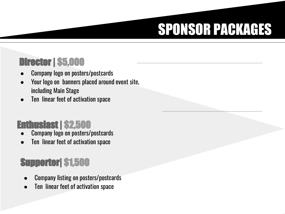# SPONSOR PACKAGES

### Director | \$5,000

- Company logo on posters/postcards
- Your logo on banners placed around event site, including Main Stage
- Ten linear feet of activation space

### Enthusiast | \$2,500

- Company logo on posters/postcards
- Ten linear feet of activation space

## Supporter| \$1,500

- Company listing on posters/postcards
- Ten linear feet of activation space